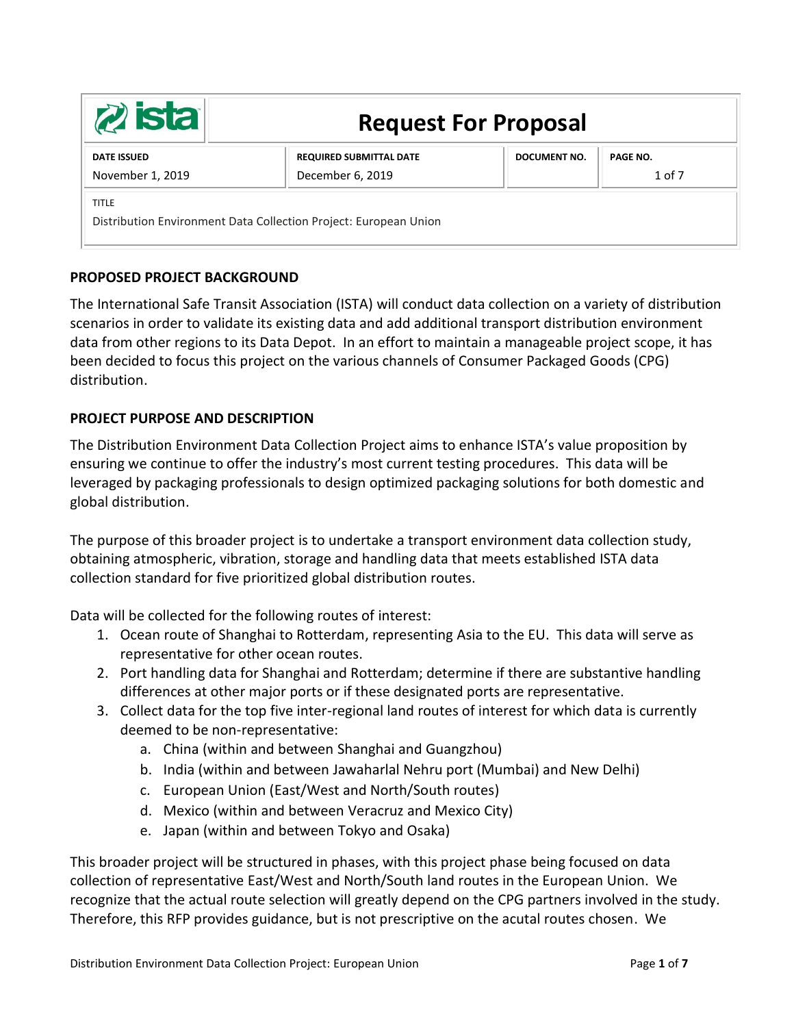| $z$ ista                                                                         | <b>Request For Proposal</b>                        |              |                               |
|----------------------------------------------------------------------------------|----------------------------------------------------|--------------|-------------------------------|
| <b>DATE ISSUED</b><br>November 1, 2019                                           | <b>REQUIRED SUBMITTAL DATE</b><br>December 6, 2019 | DOCUMENT NO. | <b>PAGE NO.</b><br>$1$ of $7$ |
| <b>TITLE</b><br>Distribution Environment Data Collection Project: European Union |                                                    |              |                               |

# **PROPOSED PROJECT BACKGROUND**

The International Safe Transit Association (ISTA) will conduct data collection on a variety of distribution scenarios in order to validate its existing data and add additional transport distribution environment data from other regions to its Data Depot. In an effort to maintain a manageable project scope, it has been decided to focus this project on the various channels of Consumer Packaged Goods (CPG) distribution.

# **PROJECT PURPOSE AND DESCRIPTION**

The Distribution Environment Data Collection Project aims to enhance ISTA's value proposition by ensuring we continue to offer the industry's most current testing procedures. This data will be leveraged by packaging professionals to design optimized packaging solutions for both domestic and global distribution.

The purpose of this broader project is to undertake a transport environment data collection study, obtaining atmospheric, vibration, storage and handling data that meets established ISTA data collection standard for five prioritized global distribution routes.

Data will be collected for the following routes of interest:

- 1. Ocean route of Shanghai to Rotterdam, representing Asia to the EU. This data will serve as representative for other ocean routes.
- 2. Port handling data for Shanghai and Rotterdam; determine if there are substantive handling differences at other major ports or if these designated ports are representative.
- 3. Collect data for the top five inter-regional land routes of interest for which data is currently deemed to be non-representative:
	- a. China (within and between Shanghai and Guangzhou)
	- b. India (within and between Jawaharlal Nehru port (Mumbai) and New Delhi)
	- c. European Union (East/West and North/South routes)
	- d. Mexico (within and between Veracruz and Mexico City)
	- e. Japan (within and between Tokyo and Osaka)

This broader project will be structured in phases, with this project phase being focused on data collection of representative East/West and North/South land routes in the European Union. We recognize that the actual route selection will greatly depend on the CPG partners involved in the study. Therefore, this RFP provides guidance, but is not prescriptive on the acutal routes chosen. We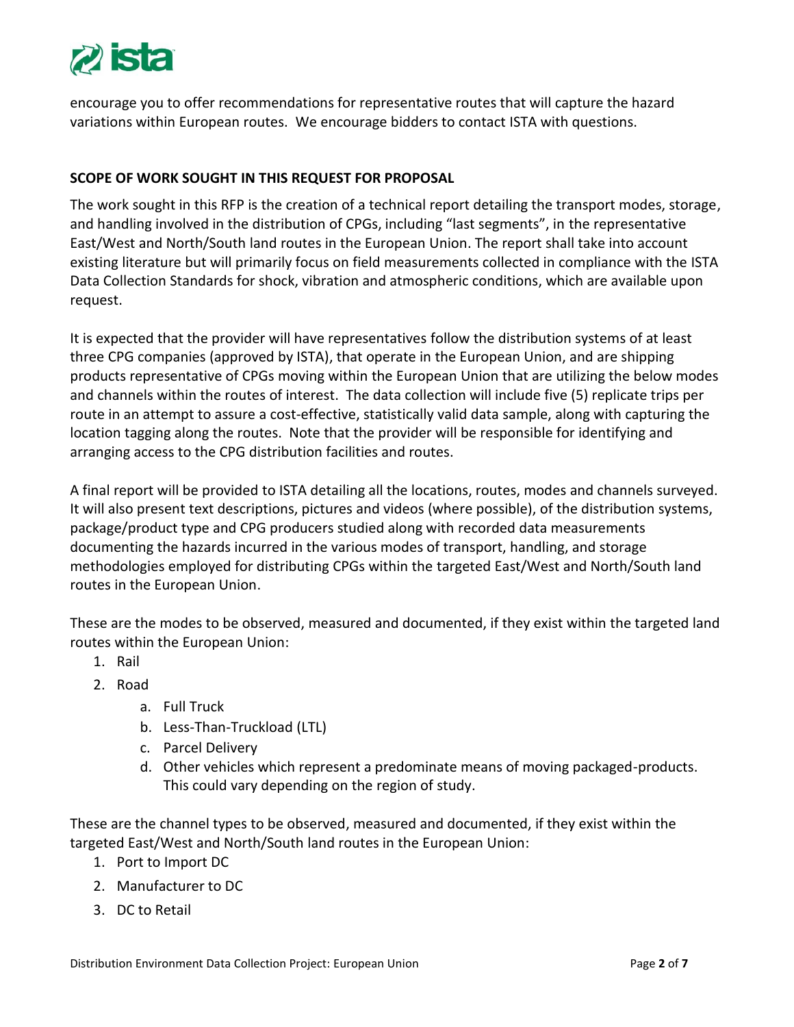

encourage you to offer recommendations for representative routes that will capture the hazard variations within European routes. We encourage bidders to contact ISTA with questions.

# **SCOPE OF WORK SOUGHT IN THIS REQUEST FOR PROPOSAL**

The work sought in this RFP is the creation of a technical report detailing the transport modes, storage, and handling involved in the distribution of CPGs, including "last segments", in the representative East/West and North/South land routes in the European Union. The report shall take into account existing literature but will primarily focus on field measurements collected in compliance with the ISTA Data Collection Standards for shock, vibration and atmospheric conditions, which are available upon request.

It is expected that the provider will have representatives follow the distribution systems of at least three CPG companies (approved by ISTA), that operate in the European Union, and are shipping products representative of CPGs moving within the European Union that are utilizing the below modes and channels within the routes of interest. The data collection will include five (5) replicate trips per route in an attempt to assure a cost-effective, statistically valid data sample, along with capturing the location tagging along the routes. Note that the provider will be responsible for identifying and arranging access to the CPG distribution facilities and routes.

A final report will be provided to ISTA detailing all the locations, routes, modes and channels surveyed. It will also present text descriptions, pictures and videos (where possible), of the distribution systems, package/product type and CPG producers studied along with recorded data measurements documenting the hazards incurred in the various modes of transport, handling, and storage methodologies employed for distributing CPGs within the targeted East/West and North/South land routes in the European Union.

These are the modes to be observed, measured and documented, if they exist within the targeted land routes within the European Union:

- 1. Rail
- 2. Road
	- a. Full Truck
	- b. Less-Than-Truckload (LTL)
	- c. Parcel Delivery
	- d. Other vehicles which represent a predominate means of moving packaged-products. This could vary depending on the region of study.

These are the channel types to be observed, measured and documented, if they exist within the targeted East/West and North/South land routes in the European Union:

- 1. Port to Import DC
- 2. Manufacturer to DC
- 3. DC to Retail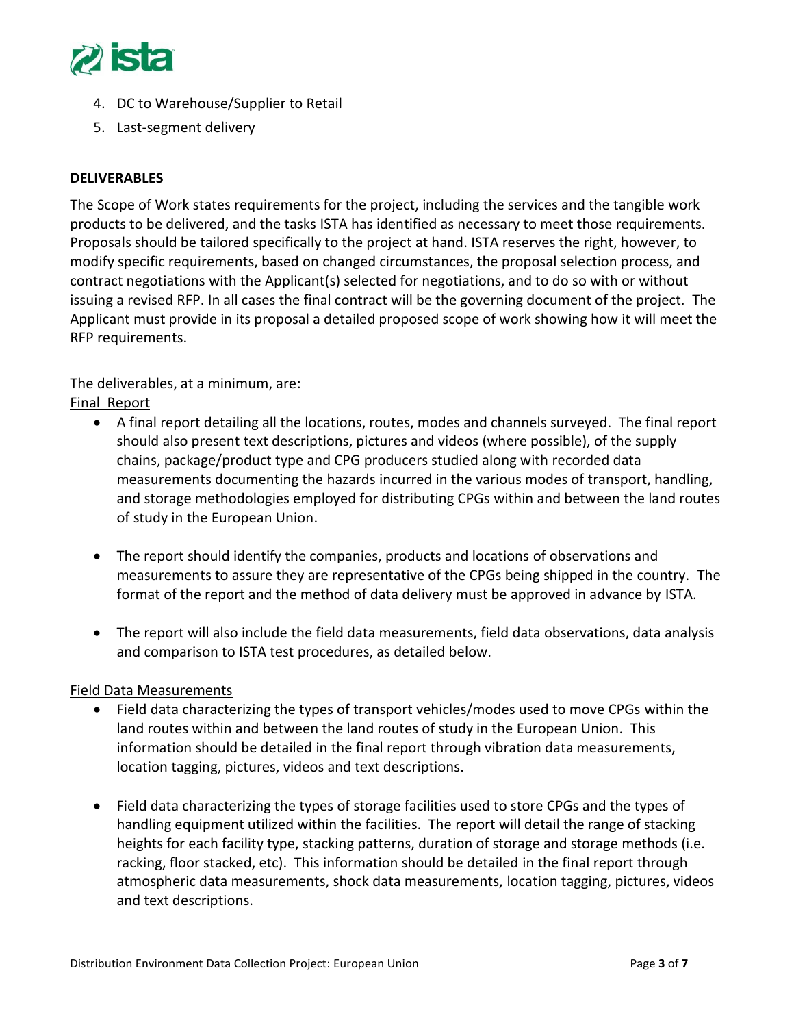

- 4. DC to Warehouse/Supplier to Retail
- 5. Last-segment delivery

### **DELIVERABLES**

The Scope of Work states requirements for the project, including the services and the tangible work products to be delivered, and the tasks ISTA has identified as necessary to meet those requirements. Proposals should be tailored specifically to the project at hand. ISTA reserves the right, however, to modify specific requirements, based on changed circumstances, the proposal selection process, and contract negotiations with the Applicant(s) selected for negotiations, and to do so with or without issuing a revised RFP. In all cases the final contract will be the governing document of the project. The Applicant must provide in its proposal a detailed proposed scope of work showing how it will meet the RFP requirements.

The deliverables, at a minimum, are:

## Final Report

- A final report detailing all the locations, routes, modes and channels surveyed. The final report should also present text descriptions, pictures and videos (where possible), of the supply chains, package/product type and CPG producers studied along with recorded data measurements documenting the hazards incurred in the various modes of transport, handling, and storage methodologies employed for distributing CPGs within and between the land routes of study in the European Union.
- The report should identify the companies, products and locations of observations and measurements to assure they are representative of the CPGs being shipped in the country. The format of the report and the method of data delivery must be approved in advance by ISTA.
- The report will also include the field data measurements, field data observations, data analysis and comparison to ISTA test procedures, as detailed below.

#### Field Data Measurements

- Field data characterizing the types of transport vehicles/modes used to move CPGs within the land routes within and between the land routes of study in the European Union. This information should be detailed in the final report through vibration data measurements, location tagging, pictures, videos and text descriptions.
- Field data characterizing the types of storage facilities used to store CPGs and the types of handling equipment utilized within the facilities. The report will detail the range of stacking heights for each facility type, stacking patterns, duration of storage and storage methods (i.e. racking, floor stacked, etc). This information should be detailed in the final report through atmospheric data measurements, shock data measurements, location tagging, pictures, videos and text descriptions.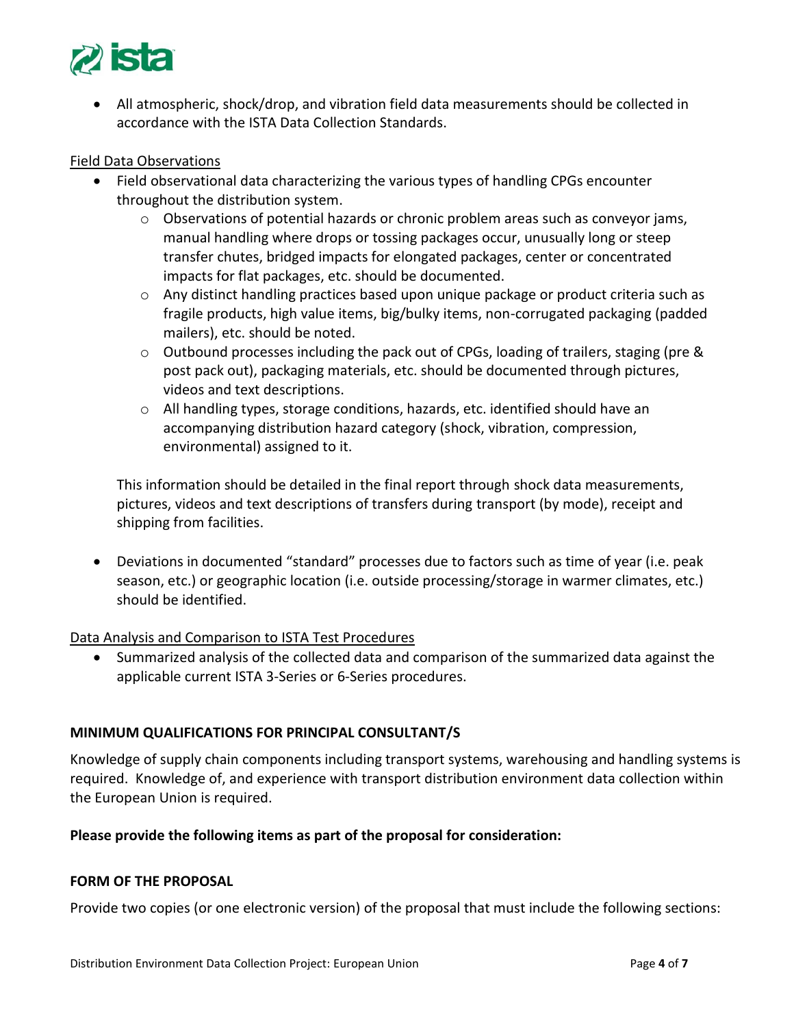

• All atmospheric, shock/drop, and vibration field data measurements should be collected in accordance with the ISTA Data Collection Standards.

### Field Data Observations

- Field observational data characterizing the various types of handling CPGs encounter throughout the distribution system.
	- $\circ$  Observations of potential hazards or chronic problem areas such as conveyor jams, manual handling where drops or tossing packages occur, unusually long or steep transfer chutes, bridged impacts for elongated packages, center or concentrated impacts for flat packages, etc. should be documented.
	- $\circ$  Any distinct handling practices based upon unique package or product criteria such as fragile products, high value items, big/bulky items, non-corrugated packaging (padded mailers), etc. should be noted.
	- $\circ$  Outbound processes including the pack out of CPGs, loading of trailers, staging (pre & post pack out), packaging materials, etc. should be documented through pictures, videos and text descriptions.
	- $\circ$  All handling types, storage conditions, hazards, etc. identified should have an accompanying distribution hazard category (shock, vibration, compression, environmental) assigned to it.

This information should be detailed in the final report through shock data measurements, pictures, videos and text descriptions of transfers during transport (by mode), receipt and shipping from facilities.

• Deviations in documented "standard" processes due to factors such as time of year (i.e. peak season, etc.) or geographic location (i.e. outside processing/storage in warmer climates, etc.) should be identified.

#### Data Analysis and Comparison to ISTA Test Procedures

• Summarized analysis of the collected data and comparison of the summarized data against the applicable current ISTA 3-Series or 6-Series procedures.

## **MINIMUM QUALIFICATIONS FOR PRINCIPAL CONSULTANT/S**

Knowledge of supply chain components including transport systems, warehousing and handling systems is required. Knowledge of, and experience with transport distribution environment data collection within the European Union is required.

#### **Please provide the following items as part of the proposal for consideration:**

#### **FORM OF THE PROPOSAL**

Provide two copies (or one electronic version) of the proposal that must include the following sections: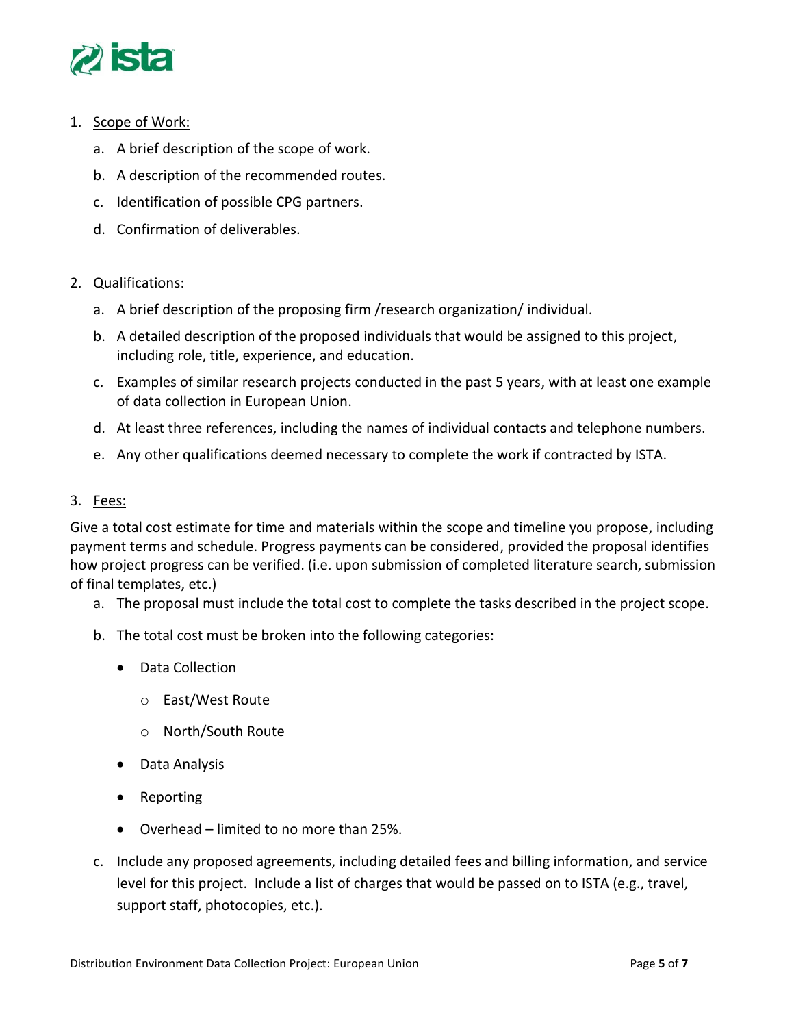

## 1. Scope of Work:

- a. A brief description of the scope of work.
- b. A description of the recommended routes.
- c. Identification of possible CPG partners.
- d. Confirmation of deliverables.

### 2. Qualifications:

- a. A brief description of the proposing firm /research organization/ individual.
- b. A detailed description of the proposed individuals that would be assigned to this project, including role, title, experience, and education.
- c. Examples of similar research projects conducted in the past 5 years, with at least one example of data collection in European Union.
- d. At least three references, including the names of individual contacts and telephone numbers.
- e. Any other qualifications deemed necessary to complete the work if contracted by ISTA.

### 3. Fees:

Give a total cost estimate for time and materials within the scope and timeline you propose, including payment terms and schedule. Progress payments can be considered, provided the proposal identifies how project progress can be verified. (i.e. upon submission of completed literature search, submission of final templates, etc.)

- a. The proposal must include the total cost to complete the tasks described in the project scope.
- b. The total cost must be broken into the following categories:
	- Data Collection
		- o East/West Route
		- o North/South Route
	- Data Analysis
	- Reporting
	- Overhead limited to no more than 25%.
- c. Include any proposed agreements, including detailed fees and billing information, and service level for this project. Include a list of charges that would be passed on to ISTA (e.g., travel, support staff, photocopies, etc.).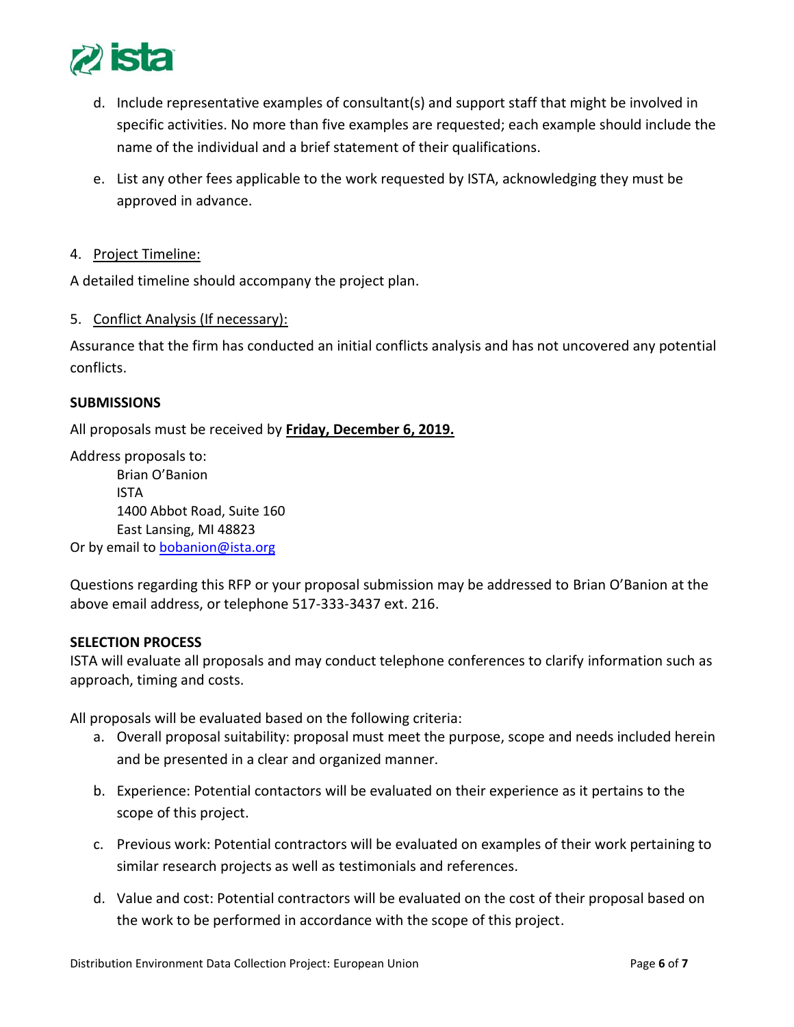

- d. Include representative examples of consultant(s) and support staff that might be involved in specific activities. No more than five examples are requested; each example should include the name of the individual and a brief statement of their qualifications.
- e. List any other fees applicable to the work requested by ISTA, acknowledging they must be approved in advance.
- 4. Project Timeline:

A detailed timeline should accompany the project plan.

5. Conflict Analysis (If necessary):

Assurance that the firm has conducted an initial conflicts analysis and has not uncovered any potential conflicts.

#### **SUBMISSIONS**

All proposals must be received by **Friday, December 6, 2019.**

Address proposals to: Brian O'Banion ISTA 1400 Abbot Road, Suite 160 East Lansing, MI 48823 Or by email to **bobanion@ista.org** 

Questions regarding this RFP or your proposal submission may be addressed to Brian O'Banion at the above email address, or telephone 517-333-3437 ext. 216.

#### **SELECTION PROCESS**

ISTA will evaluate all proposals and may conduct telephone conferences to clarify information such as approach, timing and costs.

All proposals will be evaluated based on the following criteria:

- a. Overall proposal suitability: proposal must meet the purpose, scope and needs included herein and be presented in a clear and organized manner.
- b. Experience: Potential contactors will be evaluated on their experience as it pertains to the scope of this project.
- c. Previous work: Potential contractors will be evaluated on examples of their work pertaining to similar research projects as well as testimonials and references.
- d. Value and cost: Potential contractors will be evaluated on the cost of their proposal based on the work to be performed in accordance with the scope of this project.